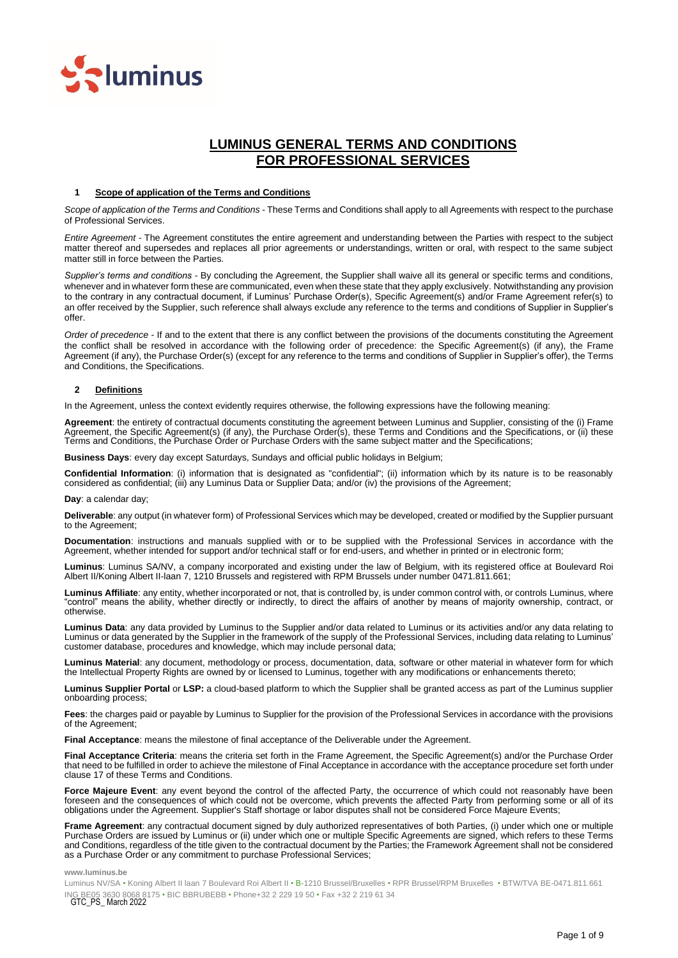

# **LUMINUS GENERAL TERMS AND CONDITIONS FOR PROFESSIONAL SERVICES**

# **1 Scope of application of the Terms and Conditions**

*Scope of application of the Terms and Conditions* - These Terms and Conditions shall apply to all Agreements with respect to the purchase of Professional Services.

*Entire Agreement* - The Agreement constitutes the entire agreement and understanding between the Parties with respect to the subject matter thereof and supersedes and replaces all prior agreements or understandings, written or oral, with respect to the same subject matter still in force between the Parties.

*Supplier's terms and conditions* - By concluding the Agreement, the Supplier shall waive all its general or specific terms and conditions, whenever and in whatever form these are communicated, even when these state that they apply exclusively. Notwithstanding any provision to the contrary in any contractual document, if Luminus' Purchase Order(s), Specific Agreement(s) and/or Frame Agreement refer(s) to an offer received by the Supplier, such reference shall always exclude any reference to the terms and conditions of Supplier in Supplier's offer.

*Order of precedence* - If and to the extent that there is any conflict between the provisions of the documents constituting the Agreement the conflict shall be resolved in accordance with the following order of precedence: the Specific Agreement(s) (if any), the Frame Agreement (if any), the Purchase Order(s) (except for any reference to the terms and conditions of Supplier in Supplier's offer), the Terms and Conditions, the Specifications.

### **2 Definitions**

In the Agreement, unless the context evidently requires otherwise, the following expressions have the following meaning:

**Agreement**: the entirety of contractual documents constituting the agreement between Luminus and Supplier, consisting of the (i) Frame Agreement, the Specific Agreement(s) (if any), the Purchase Order(s), these Terms and Conditions and the Specifications, or (ii) these Terms and Conditions, the Purchase Order or Purchase Orders with the same subject matter and the Specifications;

**Business Days**: every day except Saturdays, Sundays and official public holidays in Belgium;

**Confidential Information**: (i) information that is designated as "confidential"; (ii) information which by its nature is to be reasonably considered as confidential; (iii) any Luminus Data or Supplier Data; and/or (iv) the provisions of the Agreement;

**Day**: a calendar day;

**Deliverable**: any output (in whatever form) of Professional Services which may be developed, created or modified by the Supplier pursuant to the Agreement;

**Documentation**: instructions and manuals supplied with or to be supplied with the Professional Services in accordance with the Agreement, whether intended for support and/or technical staff or for end-users, and whether in printed or in electronic form;

**Luminus**: Luminus SA/NV, a company incorporated and existing under the law of Belgium, with its registered office at Boulevard Roi Albert II/Koning Albert II-laan 7, 1210 Brussels and registered with RPM Brussels under number 0471.811.661;

**Luminus Affiliate**: any entity, whether incorporated or not, that is controlled by, is under common control with, or controls Luminus, where "control" means the ability, whether directly or indirectly, to direct the affairs of another by means of majority ownership, contract, or otherwise.

**Luminus Data**: any data provided by Luminus to the Supplier and/or data related to Luminus or its activities and/or any data relating to Luminus or data generated by the Supplier in the framework of the supply of the Professional Services, including data relating to Luminus' customer database, procedures and knowledge, which may include personal data;

**Luminus Material**: any document, methodology or process, documentation, data, software or other material in whatever form for which the Intellectual Property Rights are owned by or licensed to Luminus, together with any modifications or enhancements thereto;

**Luminus Supplier Portal** or **LSP:** a cloud-based platform to which the Supplier shall be granted access as part of the Luminus supplier onboarding process;

**Fees**: the charges paid or payable by Luminus to Supplier for the provision of the Professional Services in accordance with the provisions of the Agreement;

**Final Acceptance**: means the milestone of final acceptance of the Deliverable under the Agreement.

Final Acceptance Criteria: means the criteria set forth in the Frame Agreement, the Specific Agreement(s) and/or the Purchase Order that need to be fulfilled in order to achieve the milestone of Final Acceptance in accordance with the acceptance procedure set forth under clause [17](#page-6-0) of these Terms and Conditions.

**Force Majeure Event**: any event beyond the control of the affected Party, the occurrence of which could not reasonably have been foreseen and the consequences of which could not be overcome, which prevents the affected Party from performing some or all of its obligations under the Agreement. Supplier's Staff shortage or labor disputes shall not be considered Force Majeure Events;

**Frame Agreement**: any contractual document signed by duly authorized representatives of both Parties, (i) under which one or multiple Purchase Orders are issued by Luminus or (ii) under which one or multiple Specific Agreements are signed, which refers to these Terms and Conditions, regardless of the title given to the contractual document by the Parties; the Framework Agreement shall not be considered as a Purchase Order or any commitment to purchase Professional Services;

**www.luminus.be**

ING BE05 3630 8068 8175 • BIC BBRUBEBB • Phone+32 2 229 19 50 • Fax +32 2 219 61 34<br>GTC\_PS\_ March 2022 Luminus NV/SA • Koning Albert II laan 7 Boulevard Roi Albert II • B-1210 Brussel/Bruxelles • RPR Brussel/RPM Bruxelles • BTW/TVA BE-0471.811.661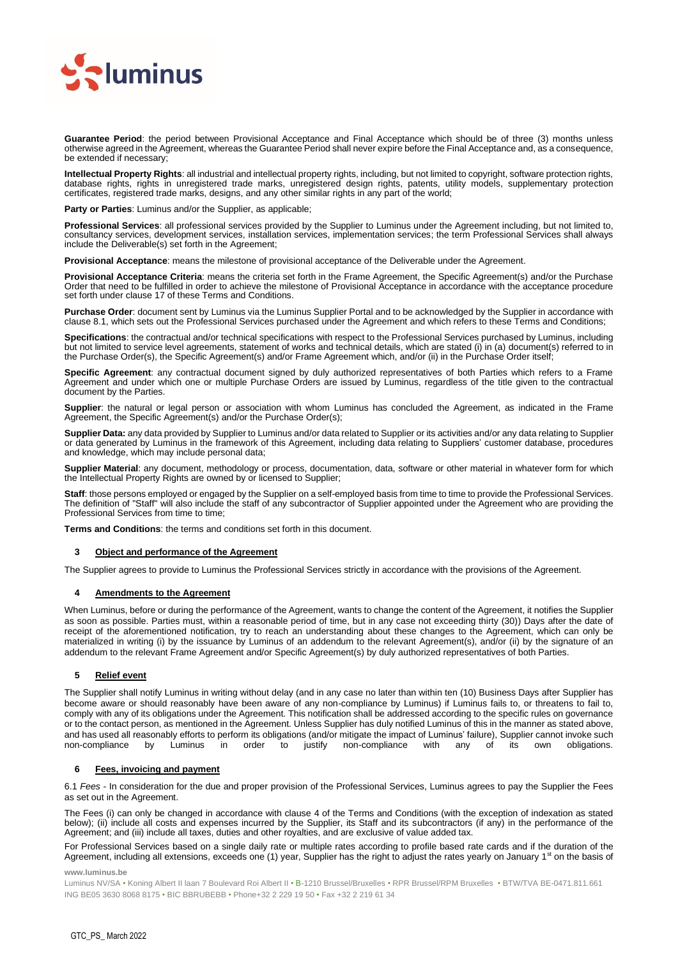

Guarantee Period: the period between Provisional Acceptance and Final Acceptance which should be of three (3) months unless otherwise agreed in the Agreement, whereas the Guarantee Period shall never expire before the Final Acceptance and, as a consequence, be extended if necessary;

**Intellectual Property Rights**: all industrial and intellectual property rights, including, but not limited to copyright, software protection rights, database rights, rights in unregistered trade marks, unregistered design rights, patents, utility models, supplementary protection certificates, registered trade marks, designs, and any other similar rights in any part of the world;

Party or Parties: Luminus and/or the Supplier, as applicable;

**Professional Services**: all professional services provided by the Supplier to Luminus under the Agreement including, but not limited to, consultancy services, development services, installation services, implementation services; the term Professional Services shall always include the Deliverable(s) set forth in the Agreement;

**Provisional Acceptance**: means the milestone of provisional acceptance of the Deliverable under the Agreement.

**Provisional Acceptance Criteria**: means the criteria set forth in the Frame Agreement, the Specific Agreement(s) and/or the Purchase Order that need to be fulfilled in order to achieve the milestone of Provisional Acceptance in accordance with the acceptance procedure set forth under clause [17](#page-6-0) of these Terms and Conditions.

**Purchase Order**: document sent by Luminus via the Luminus Supplier Portal and to be acknowledged by the Supplier in accordance with clause 8.1, which sets out the Professional Services purchased under the Agreement and which refers to these Terms and Conditions;

**Specifications**: the contractual and/or technical specifications with respect to the Professional Services purchased by Luminus, including but not limited to service level agreements, statement of works and technical details, which are stated (i) in (a) document(s) referred to in the Purchase Order(s), the Specific Agreement(s) and/or Frame Agreement which, and/or (ii) in the Purchase Order itself;

**Specific Agreement**: any contractual document signed by duly authorized representatives of both Parties which refers to a Frame Agreement and under which one or multiple Purchase Orders are issued by Luminus, regardless of the title given to the contractual document by the Parties.

**Supplier**: the natural or legal person or association with whom Luminus has concluded the Agreement, as indicated in the Frame Agreement, the Specific Agreement(s) and/or the Purchase Order(s);

**Supplier Data:** any data provided by Supplier to Luminus and/or data related to Supplier or its activities and/or any data relating to Supplier or data generated by Luminus in the framework of this Agreement, including data relating to Suppliers' customer database, procedures and knowledge, which may include personal data;

**Supplier Material**: any document, methodology or process, documentation, data, software or other material in whatever form for which the Intellectual Property Rights are owned by or licensed to Supplier;

**Staff**: those persons employed or engaged by the Supplier on a self-employed basis from time to time to provide the Professional Services. The definition of "Staff" will also include the staff of any subcontractor of Supplier appointed under the Agreement who are providing the Professional Services from time to time;

**Terms and Conditions**: the terms and conditions set forth in this document.

#### **3 Object and performance of the Agreement**

The Supplier agrees to provide to Luminus the Professional Services strictly in accordance with the provisions of the Agreement.

#### <span id="page-1-0"></span>**4 Amendments to the Agreement**

When Luminus, before or during the performance of the Agreement, wants to change the content of the Agreement, it notifies the Supplier as soon as possible. Parties must, within a reasonable period of time, but in any case not exceeding thirty (30)) Days after the date of receipt of the aforementioned notification, try to reach an understanding about these changes to the Agreement, which can only be materialized in writing (i) by the issuance by Luminus of an addendum to the relevant Agreement(s), and/or (ii) by the signature of an addendum to the relevant Frame Agreement and/or Specific Agreement(s) by duly authorized representatives of both Parties.

# **5 Relief event**

The Supplier shall notify Luminus in writing without delay (and in any case no later than within ten (10) Business Days after Supplier has become aware or should reasonably have been aware of any non-compliance by Luminus) if Luminus fails to, or threatens to fail to, comply with any of its obligations under the Agreement. This notification shall be addressed according to the specific rules on governance or to the contact person, as mentioned in the Agreement. Unless Supplier has duly notified Luminus of this in the manner as stated above, and has used all reasonably efforts to perform its obligations (and/or mitigate the impact of Luminus' failure), Supplier cannot invoke such non-compliance by Luminus in order to justify non-compliance with any of its own non-compliance by Luminus in order to justify non-compliance with any of its own

#### <span id="page-1-1"></span>**6 Fees, invoicing and payment**

6.1 *Fees* - In consideration for the due and proper provision of the Professional Services, Luminus agrees to pay the Supplier the Fees as set out in the Agreement.

The Fees (i) can only be changed in accordance with clause [4](#page-1-0) of the Terms and Conditions (with the exception of indexation as stated below); (ii) include all costs and expenses incurred by the Supplier, its Staff and its subcontractors (if any) in the performance of the Agreement; and (iii) include all taxes, duties and other royalties, and are exclusive of value added tax.

For Professional Services based on a single daily rate or multiple rates according to profile based rate cards and if the duration of the Agreement, including all extensions, exceeds one (1) year, Supplier has the right to adjust the rates yearly on January 1<sup>st</sup> on the basis of

**www.luminus.be**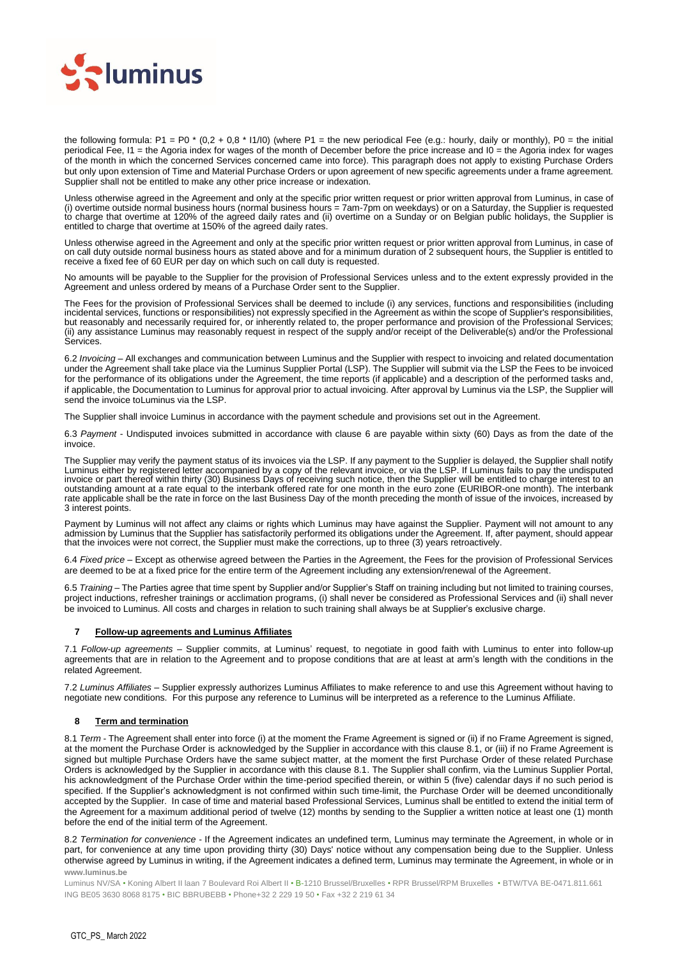

the following formula: P1 = P0  $*(0,2 + 0,8 * 11/10)$  (where P1 = the new periodical Fee (e.g.: hourly, daily or monthly), P0 = the initial periodical Fee, I1 = the Agoria index for wages of the month of December before the price increase and I0 = the Agoria index for wages of the month in which the concerned Services concerned came into force). This paragraph does not apply to existing Purchase Orders but only upon extension of Time and Material Purchase Orders or upon agreement of new specific agreements under a frame agreement. Supplier shall not be entitled to make any other price increase or indexation.

Unless otherwise agreed in the Agreement and only at the specific prior written request or prior written approval from Luminus, in case of (i) overtime outside normal business hours (normal business hours = 7am-7pm on weekdays) or on a Saturday, the Supplier is requested to charge that overtime at 120% of the agreed daily rates and (ii) overtime on a Sunday or on Belgian public holidays, the Supplier is entitled to charge that overtime at 150% of the agreed daily rates.

Unless otherwise agreed in the Agreement and only at the specific prior written request or prior written approval from Luminus, in case of on call duty outside normal business hours as stated above and for a minimum duration of 2 subsequent hours, the Supplier is entitled to receive a fixed fee of 60 EUR per day on which such on call duty is requested.

No amounts will be payable to the Supplier for the provision of Professional Services unless and to the extent expressly provided in the Agreement and unless ordered by means of a Purchase Order sent to the Supplier.

The Fees for the provision of Professional Services shall be deemed to include (i) any services, functions and responsibilities (including incidental services, functions or responsibilities) not expressly specified in the Agreement as within the scope of Supplier's responsibilities, but reasonably and necessarily required for, or inherently related to, the proper performance and provision of the Professional Services; (ii) any assistance Luminus may reasonably request in respect of the supply and/or receipt of the Deliverable(s) and/or the Professional Services.

6.2 *Invoicing* – All exchanges and communication between Luminus and the Supplier with respect to invoicing and related documentation under the Agreement shall take place via the Luminus Supplier Portal (LSP). The Supplier will submit via the LSP the Fees to be invoiced for the performance of its obligations under the Agreement, the time reports (if applicable) and a description of the performed tasks and, if applicable, the Documentation to Luminus for approval prior to actual invoicing. After approval by Luminus via the LSP, the Supplier will send the invoice toLuminus via the LSP.

The Supplier shall invoice Luminus in accordance with the payment schedule and provisions set out in the Agreement.

6.3 *Payment* - Undisputed invoices submitted in accordance with clause [6](#page-1-1) are payable within sixty (60) Days as from the date of the invoice.

The Supplier may verify the payment status of its invoices via the LSP. If any payment to the Supplier is delayed, the Supplier shall notify Luminus either by registered letter accompanied by a copy of the relevant invoice, or via the LSP. If Luminus fails to pay the undisputed invoice or part thereof within thirty (30) Business Days of receiving such notice, then the Supplier will be entitled to charge interest to an outstanding amount at a rate equal to the interbank offered rate for one month in the euro zone (EURIBOR-one month). The interbank rate applicable shall be the rate in force on the last Business Day of the month preceding the month of issue of the invoices, increased by 3 interest points.

Payment by Luminus will not affect any claims or rights which Luminus may have against the Supplier. Payment will not amount to any admission by Luminus that the Supplier has satisfactorily performed its obligations under the Agreement. If, after payment, should appear that the invoices were not correct, the Supplier must make the corrections, up to three (3) years retroactively.

6.4 *Fixed price* – Except as otherwise agreed between the Parties in the Agreement, the Fees for the provision of Professional Services are deemed to be at a fixed price for the entire term of the Agreement including any extension/renewal of the Agreement.

6.5 *Training* – The Parties agree that time spent by Supplier and/or Supplier's Staff on training including but not limited to training courses, project inductions, refresher trainings or acclimation programs, (i) shall never be considered as Professional Services and (ii) shall never be invoiced to Luminus. All costs and charges in relation to such training shall always be at Supplier's exclusive charge.

# **7 Follow-up agreements and Luminus Affiliates**

7.1 *Follow-up agreements* – Supplier commits, at Luminus' request, to negotiate in good faith with Luminus to enter into follow-up agreements that are in relation to the Agreement and to propose conditions that are at least at arm's length with the conditions in the related Agreement.

7.2 *Luminus Affiliates* – Supplier expressly authorizes Luminus Affiliates to make reference to and use this Agreement without having to negotiate new conditions. For this purpose any reference to Luminus will be interpreted as a reference to the Luminus Affiliate.

# **8 Term and termination**

8.1 *Term* - The Agreement shall enter into force (i) at the moment the Frame Agreement is signed or (ii) if no Frame Agreement is signed, at the moment the Purchase Order is acknowledged by the Supplier in accordance with this clause 8.1, or (iii) if no Frame Agreement is signed but multiple Purchase Orders have the same subject matter, at the moment the first Purchase Order of these related Purchase Orders is acknowledged by the Supplier in accordance with this clause 8.1. The Supplier shall confirm, via the Luminus Supplier Portal, his acknowledgment of the Purchase Order within the time-period specified therein, or within 5 (five) calendar days if no such period is specified. If the Supplier's acknowledgment is not confirmed within such time-limit, the Purchase Order will be deemed unconditionally accepted by the Supplier. In case of time and material based Professional Services, Luminus shall be entitled to extend the initial term of the Agreement for a maximum additional period of twelve (12) months by sending to the Supplier a written notice at least one (1) month before the end of the initial term of the Agreement.

**www.luminus.be** 8.2 *Termination for convenience* - If the Agreement indicates an undefined term, Luminus may terminate the Agreement, in whole or in part, for convenience at any time upon providing thirty (30) Days' notice without any compensation being due to the Supplier. Unless otherwise agreed by Luminus in writing, if the Agreement indicates a defined term, Luminus may terminate the Agreement, in whole or in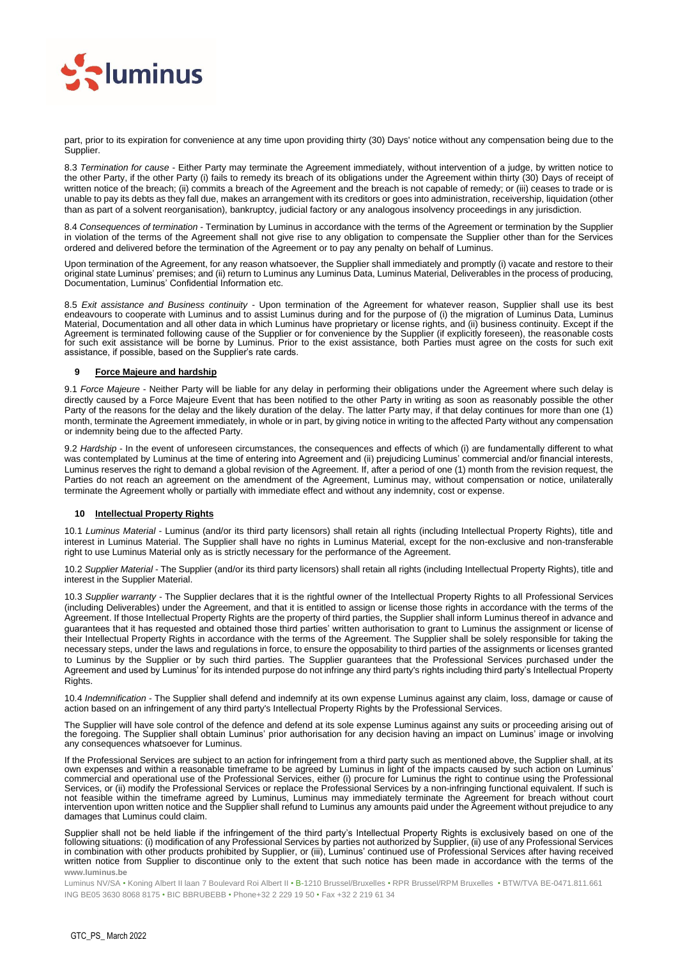

part, prior to its expiration for convenience at any time upon providing thirty (30) Days' notice without any compensation being due to the Supplier.

8.3 *Termination for cause* - Either Party may terminate the Agreement immediately, without intervention of a judge, by written notice to the other Party, if the other Party (i) fails to remedy its breach of its obligations under the Agreement within thirty (30) Days of receipt of written notice of the breach; (ii) commits a breach of the Agreement and the breach is not capable of remedy; or (iii) ceases to trade or is unable to pay its debts as they fall due, makes an arrangement with its creditors or goes into administration, receivership, liquidation (other than as part of a solvent reorganisation), bankruptcy, judicial factory or any analogous insolvency proceedings in any jurisdiction.

8.4 *Consequences of termination* - Termination by Luminus in accordance with the terms of the Agreement or termination by the Supplier in violation of the terms of the Agreement shall not give rise to any obligation to compensate the Supplier other than for the Services ordered and delivered before the termination of the Agreement or to pay any penalty on behalf of Luminus.

Upon termination of the Agreement, for any reason whatsoever, the Supplier shall immediately and promptly (i) vacate and restore to their original state Luminus' premises; and (ii) return to Luminus any Luminus Data, Luminus Material, Deliverables in the process of producing, Documentation, Luminus' Confidential Information etc.

8.5 *Exit assistance and Business continuity* - Upon termination of the Agreement for whatever reason, Supplier shall use its best endeavours to cooperate with Luminus and to assist Luminus during and for the purpose of (i) the migration of Luminus Data, Luminus Material, Documentation and all other data in which Luminus have proprietary or license rights, and (ii) business continuity. Except if the Agreement is terminated following cause of the Supplier or for convenience by the Supplier (if explicitly foreseen), the reasonable costs for such exit assistance will be borne by Luminus. Prior to the exist assistance, both Parties must agree on the costs for such exit assistance, if possible, based on the Supplier's rate cards.

# **9 Force Majeure and hardship**

9.1 *Force Majeure* - Neither Party will be liable for any delay in performing their obligations under the Agreement where such delay is directly caused by a Force Majeure Event that has been notified to the other Party in writing as soon as reasonably possible the other Party of the reasons for the delay and the likely duration of the delay. The latter Party may, if that delay continues for more than one (1) month, terminate the Agreement immediately, in whole or in part, by giving notice in writing to the affected Party without any compensation or indemnity being due to the affected Party.

9.2 *Hardship* - In the event of unforeseen circumstances, the consequences and effects of which (i) are fundamentally different to what was contemplated by Luminus at the time of entering into Agreement and (ii) prejudicing Luminus' commercial and/or financial interests, Luminus reserves the right to demand a global revision of the Agreement. If, after a period of one (1) month from the revision request, the Parties do not reach an agreement on the amendment of the Agreement, Luminus may, without compensation or notice, unilaterally terminate the Agreement wholly or partially with immediate effect and without any indemnity, cost or expense.

# <span id="page-3-0"></span>**10 Intellectual Property Rights**

10.1 *Luminus Material* - Luminus (and/or its third party licensors) shall retain all rights (including Intellectual Property Rights), title and interest in Luminus Material. The Supplier shall have no rights in Luminus Material, except for the non-exclusive and non-transferable right to use Luminus Material only as is strictly necessary for the performance of the Agreement.

10.2 *Supplier Material* - The Supplier (and/or its third party licensors) shall retain all rights (including Intellectual Property Rights), title and interest in the Supplier Material.

10.3 *Supplier warranty* - The Supplier declares that it is the rightful owner of the Intellectual Property Rights to all Professional Services (including Deliverables) under the Agreement, and that it is entitled to assign or license those rights in accordance with the terms of the Agreement. If those Intellectual Property Rights are the property of third parties, the Supplier shall inform Luminus thereof in advance and guarantees that it has requested and obtained those third parties' written authorisation to grant to Luminus the assignment or license of their Intellectual Property Rights in accordance with the terms of the Agreement. The Supplier shall be solely responsible for taking the necessary steps, under the laws and regulations in force, to ensure the opposability to third parties of the assignments or licenses granted to Luminus by the Supplier or by such third parties. The Supplier guarantees that the Professional Services purchased under the Agreement and used by Luminus' for its intended purpose do not infringe any third party's rights including third party's Intellectual Property Rights.

10.4 *Indemnification* - The Supplier shall defend and indemnify at its own expense Luminus against any claim, loss, damage or cause of action based on an infringement of any third party's Intellectual Property Rights by the Professional Services.

The Supplier will have sole control of the defence and defend at its sole expense Luminus against any suits or proceeding arising out of the foregoing. The Supplier shall obtain Luminus' prior authorisation for any decision having an impact on Luminus' image or involving any consequences whatsoever for Luminus.

If the Professional Services are subject to an action for infringement from a third party such as mentioned above, the Supplier shall, at its own expenses and within a reasonable timeframe to be agreed by Luminus in light of the impacts caused by such action on Luminus' commercial and operational use of the Professional Services, either (i) procure for Luminus the right to continue using the Professional Services, or (ii) modify the Professional Services or replace the Professional Services by a non-infringing functional equivalent. If such is not feasible within the timeframe agreed by Luminus, Luminus may immediately terminate the Agreement for breach without court intervention upon written notice and the Supplier shall refund to Luminus any amounts paid under the Agreement without prejudice to any damages that Luminus could claim.

**www.luminus.be** Supplier shall not be held liable if the infringement of the third party's Intellectual Property Rights is exclusively based on one of the following situations: (i) modification of any Professional Services by parties not authorized by Supplier, (ii) use of any Professional Services in combination with other products prohibited by Supplier, or (iii), Luminus' continued use of Professional Services after having received written notice from Supplier to discontinue only to the extent that such notice has been made in accordance with the terms of the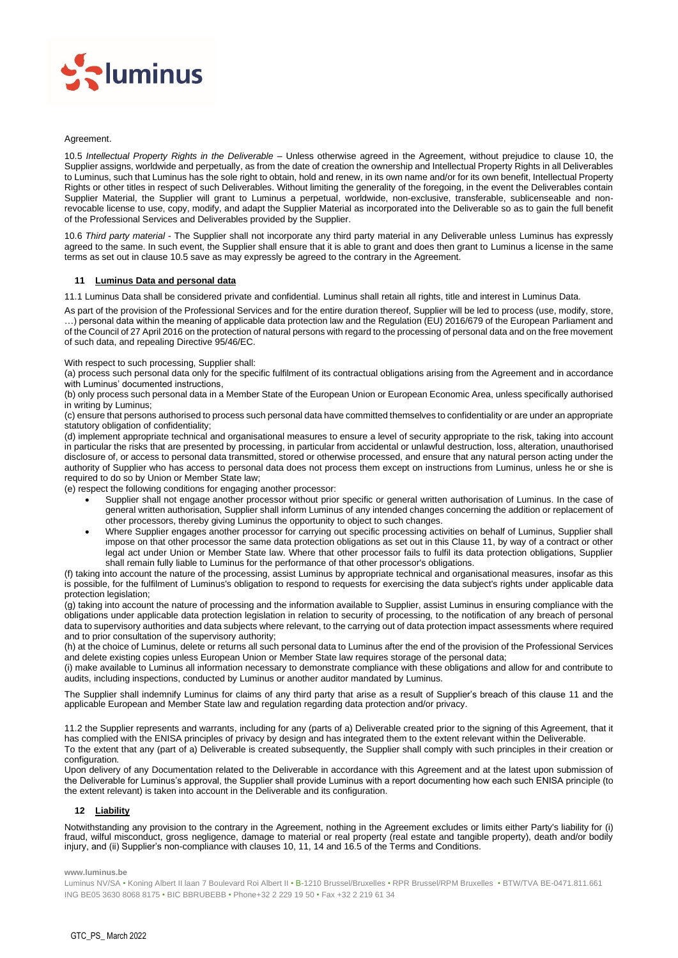

#### Agreement.

10.5 *Intellectual Property Rights in the Deliverable* – Unless otherwise agreed in the Agreement, without prejudice to clause [10,](#page-3-0) the Supplier assigns, worldwide and perpetually, as from the date of creation the ownership and Intellectual Property Rights in all Deliverables to Luminus, such that Luminus has the sole right to obtain, hold and renew, in its own name and/or for its own benefit, Intellectual Property Rights or other titles in respect of such Deliverables. Without limiting the generality of the foregoing, in the event the Deliverables contain Supplier Material, the Supplier will grant to Luminus a perpetual, worldwide, non-exclusive, transferable, sublicenseable and nonrevocable license to use, copy, modify, and adapt the Supplier Material as incorporated into the Deliverable so as to gain the full benefit of the Professional Services and Deliverables provided by the Supplier.

10.6 *Third party material* - The Supplier shall not incorporate any third party material in any Deliverable unless Luminus has expressly agreed to the same. In such event, the Supplier shall ensure that it is able to grant and does then grant to Luminus a license in the same terms as set out in clause 10.5 save as may expressly be agreed to the contrary in the Agreement.

# <span id="page-4-0"></span>**11 Luminus Data and personal data**

11.1 Luminus Data shall be considered private and confidential. Luminus shall retain all rights, title and interest in Luminus Data.

As part of the provision of the Professional Services and for the entire duration thereof, Supplier will be led to process (use, modify, store, …) personal data within the meaning of applicable data protection law and the Regulation (EU) 2016/679 of the European Parliament and of the Council of 27 April 2016 on the protection of natural persons with regard to the processing of personal data and on the free movement of such data, and repealing Directive 95/46/EC.

#### With respect to such processing, Supplier shall:

(a) process such personal data only for the specific fulfilment of its contractual obligations arising from the Agreement and in accordance with Luminus' documented instructions.

(b) only process such personal data in a Member State of the European Union or European Economic Area, unless specifically authorised in writing by Luminus;

(c) ensure that persons authorised to process such personal data have committed themselves to confidentiality or are under an appropriate statutory obligation of confidentiality;

(d) implement appropriate technical and organisational measures to ensure a level of security appropriate to the risk, taking into account in particular the risks that are presented by processing, in particular from accidental or unlawful destruction, loss, alteration, unauthorised disclosure of, or access to personal data transmitted, stored or otherwise processed, and ensure that any natural person acting under the authority of Supplier who has access to personal data does not process them except on instructions from Luminus, unless he or she is required to do so by Union or Member State law;

(e) respect the following conditions for engaging another processor:

- Supplier shall not engage another processor without prior specific or general written authorisation of Luminus. In the case of general written authorisation, Supplier shall inform Luminus of any intended changes concerning the addition or replacement of other processors, thereby giving Luminus the opportunity to object to such changes.
- Where Supplier engages another processor for carrying out specific processing activities on behalf of Luminus, Supplier shall impose on that other processor the same data protection obligations as set out in this Clause 11, by way of a contract or other legal act under Union or Member State law. Where that other processor fails to fulfil its data protection obligations, Supplier shall remain fully liable to Luminus for the performance of that other processor's obligations.

(f) taking into account the nature of the processing, assist Luminus by appropriate technical and organisational measures, insofar as this is possible, for the fulfilment of Luminus's obligation to respond to requests for exercising the data subject's rights under applicable data protection legislation;

(g) taking into account the nature of processing and the information available to Supplier, assist Luminus in ensuring compliance with the obligations under applicable data protection legislation in relation to security of processing, to the notification of any breach of personal data to supervisory authorities and data subjects where relevant, to the carrying out of data protection impact assessments where required and to prior consultation of the supervisory authority;

(h) at the choice of Luminus, delete or returns all such personal data to Luminus after the end of the provision of the Professional Services and delete existing copies unless European Union or Member State law requires storage of the personal data;

(i) make available to Luminus all information necessary to demonstrate compliance with these obligations and allow for and contribute to audits, including inspections, conducted by Luminus or another auditor mandated by Luminus.

The Supplier shall indemnify Luminus for claims of any third party that arise as a result of Supplier's breach of this clause [11](#page-4-0) and the applicable European and Member State law and regulation regarding data protection and/or privacy.

11.2 the Supplier represents and warrants, including for any (parts of a) Deliverable created prior to the signing of this Agreement, that it has complied with the ENISA principles of privacy by design and has integrated them to the extent relevant within the Deliverable. To the extent that any (part of a) Deliverable is created subsequently, the Supplier shall comply with such principles in their creation or configuration.

Upon delivery of any Documentation related to the Deliverable in accordance with this Agreement and at the latest upon submission of the Deliverable for Luminus's approval, the Supplier shall provide Luminus with a report documenting how each such ENISA principle (to the extent relevant) is taken into account in the Deliverable and its configuration.

# <span id="page-4-1"></span>**12 Liability**

Notwithstanding any provision to the contrary in the Agreement, nothing in the Agreement excludes or limits either Party's liability for (i) fraud, wilful misconduct, gross negligence, damage to material or real property (real estate and tangible property), death and/or bodily injury, and (ii) Supplier's non-compliance with clauses [10,](#page-3-0) [11,](#page-4-0) [14](#page-5-0) and [16.](#page-5-1)5 of the Terms and Conditions.

**www.luminus.be**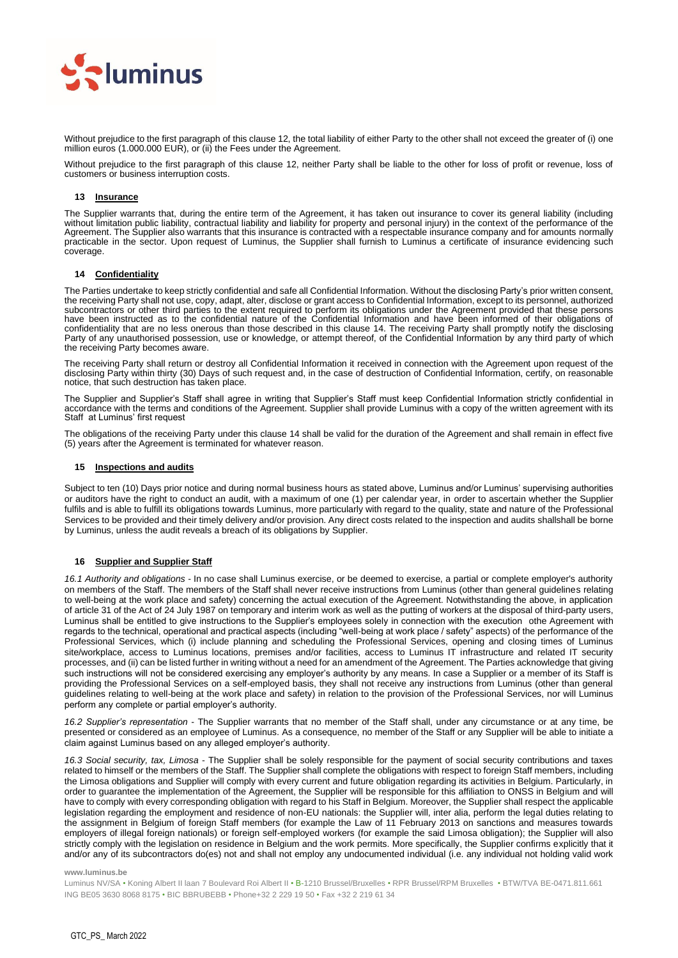

Without prejudice to the first paragraph of this clause [12,](#page-4-1) the total liability of either Party to the other shall not exceed the greater of (i) one million euros (1.000.000 EUR), or (ii) the Fees under the Agreement.

Without prejudice to the first paragraph of this clause [12,](#page-4-1) neither Party shall be liable to the other for loss of profit or revenue, loss of customers or business interruption costs.

# **13 Insurance**

The Supplier warrants that, during the entire term of the Agreement, it has taken out insurance to cover its general liability (including without limitation public liability, contractual liability and liability for property and personal injury) in the context of the performance of the Agreement. The Supplier also warrants that this insurance is contracted with a respectable insurance company and for amounts normally practicable in the sector. Upon request of Luminus, the Supplier shall furnish to Luminus a certificate of insurance evidencing such coverage.

# <span id="page-5-0"></span>**14 Confidentiality**

The Parties undertake to keep strictly confidential and safe all Confidential Information. Without the disclosing Party's prior written consent, the receiving Party shall not use, copy, adapt, alter, disclose or grant access to Confidential Information, except to its personnel, authorized subcontractors or other third parties to the extent required to perform its obligations under the Agreement provided that these persons have been instructed as to the confidential nature of the Confidential Information and have been informed of their obligations of confidentiality that are no less onerous than those described in this clause [14.](#page-5-0) The receiving Party shall promptly notify the disclosing Party of any unauthorised possession, use or knowledge, or attempt thereof, of the Confidential Information by any third party of which the receiving Party becomes aware.

The receiving Party shall return or destroy all Confidential Information it received in connection with the Agreement upon request of the disclosing Party within thirty (30) Days of such request and, in the case of destruction of Confidential Information, certify, on reasonable notice, that such destruction has taken place.

The Supplier and Supplier's Staff shall agree in writing that Supplier's Staff must keep Confidential Information strictly confidential in accordance with the terms and conditions of the Agreement. Supplier shall provide Luminus with a copy of the written agreement with its Staff at Luminus' first request

The obligations of the receiving Party under this clause [14](#page-5-0) shall be valid for the duration of the Agreement and shall remain in effect five (5) years after the Agreement is terminated for whatever reason.

#### **15 Inspections and audits**

Subject to ten (10) Days prior notice and during normal business hours as stated above, Luminus and/or Luminus' supervising authorities or auditors have the right to conduct an audit, with a maximum of one (1) per calendar year, in order to ascertain whether the Supplier fulfils and is able to fulfill its obligations towards Luminus, more particularly with regard to the quality, state and nature of the Professional Services to be provided and their timely delivery and/or provision. Any direct costs related to the inspection and audits shallshall be borne by Luminus, unless the audit reveals a breach of its obligations by Supplier.

# <span id="page-5-1"></span>**16 Supplier and Supplier Staff**

*16.1 Authority and obligations* - In no case shall Luminus exercise, or be deemed to exercise, a partial or complete employer's authority on members of the Staff. The members of the Staff shall never receive instructions from Luminus (other than general guidelines relating to well-being at the work place and safety) concerning the actual execution of the Agreement. Notwithstanding the above, in application of article 31 of the Act of 24 July 1987 on temporary and interim work as well as the putting of workers at the disposal of third-party users, Luminus shall be entitled to give instructions to the Supplier's employees solely in connection with the execution othe Agreement with regards to the technical, operational and practical aspects (including "well-being at work place / safety" aspects) of the performance of the Professional Services, which (i) include planning and scheduling the Professional Services, opening and closing times of Luminus site/workplace, access to Luminus locations, premises and/or facilities, access to Luminus IT infrastructure and related IT security processes, and (ii) can be listed further in writing without a need for an amendment of the Agreement. The Parties acknowledge that giving such instructions will not be considered exercising any employer's authority by any means. In case a Supplier or a member of its Staff is providing the Professional Services on a self-employed basis, they shall not receive any instructions from Luminus (other than general guidelines relating to well-being at the work place and safety) in relation to the provision of the Professional Services, nor will Luminus perform any complete or partial employer's authority.

*16.2 Supplier's representation* - The Supplier warrants that no member of the Staff shall, under any circumstance or at any time, be presented or considered as an employee of Luminus. As a consequence, no member of the Staff or any Supplier will be able to initiate a claim against Luminus based on any alleged employer's authority.

*16.3 Social security, tax, Limosa* - The Supplier shall be solely responsible for the payment of social security contributions and taxes related to himself or the members of the Staff. The Supplier shall complete the obligations with respect to foreign Staff members, including the Limosa obligations and Supplier will comply with every current and future obligation regarding its activities in Belgium. Particularly, in order to guarantee the implementation of the Agreement, the Supplier will be responsible for this affiliation to ONSS in Belgium and will have to comply with every corresponding obligation with regard to his Staff in Belgium. Moreover, the Supplier shall respect the applicable legislation regarding the employment and residence of non-EU nationals: the Supplier will, inter alia, perform the legal duties relating to the assignment in Belgium of foreign Staff members (for example the Law of 11 February 2013 on sanctions and measures towards employers of illegal foreign nationals) or foreign self-employed workers (for example the said Limosa obligation); the Supplier will also strictly comply with the legislation on residence in Belgium and the work permits. More specifically, the Supplier confirms explicitly that it and/or any of its subcontractors do(es) not and shall not employ any undocumented individual (i.e. any individual not holding valid work

#### **www.luminus.be**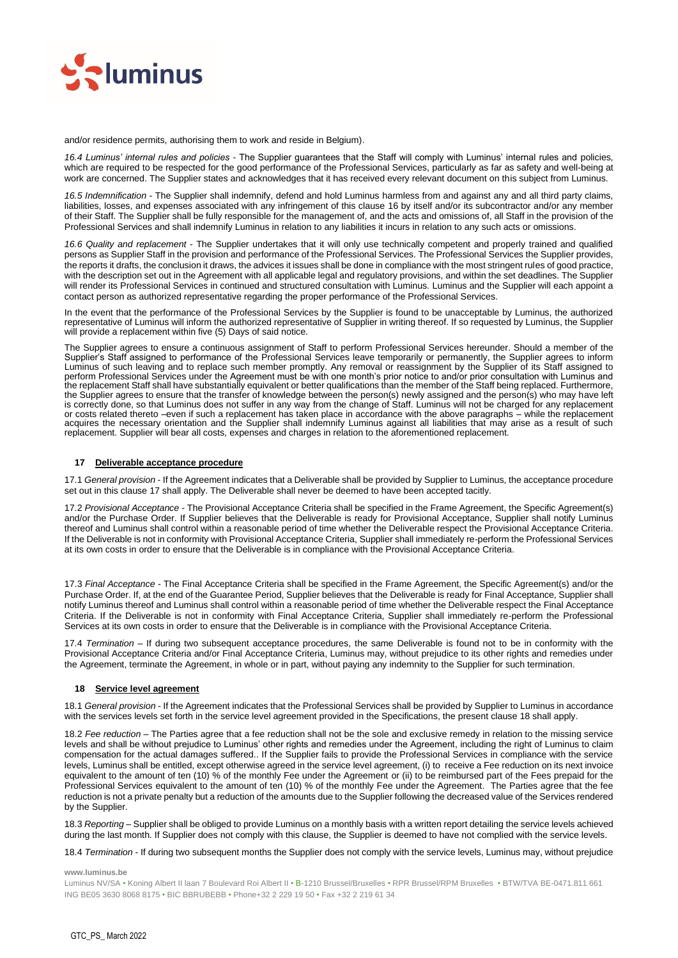

and/or residence permits, authorising them to work and reside in Belgium).

*16.4 Luminus' internal rules and policies* - The Supplier guarantees that the Staff will comply with Luminus' internal rules and policies, which are required to be respected for the good performance of the Professional Services, particularly as far as safety and well-being at work are concerned. The Supplier states and acknowledges that it has received every relevant document on this subject from Luminus.

*16.5 Indemnification* - The Supplier shall indemnify, defend and hold Luminus harmless from and against any and all third party claims, liabilities, losses, and expenses associated with any infringement of this clause 16 by itself and/or its subcontractor and/or any member of their Staff. The Supplier shall be fully responsible for the management of, and the acts and omissions of, all Staff in the provision of the Professional Services and shall indemnify Luminus in relation to any liabilities it incurs in relation to any such acts or omissions.

*16.6 Quality and replacement* - The Supplier undertakes that it will only use technically competent and properly trained and qualified persons as Supplier Staff in the provision and performance of the Professional Services. The Professional Services the Supplier provides, the reports it drafts, the conclusion it draws, the advices it issues shall be done in compliance with the most stringent rules of good practice, with the description set out in the Agreement with all applicable legal and regulatory provisions, and within the set deadlines. The Supplier will render its Professional Services in continued and structured consultation with Luminus. Luminus and the Supplier will each appoint a contact person as authorized representative regarding the proper performance of the Professional Services.

In the event that the performance of the Professional Services by the Supplier is found to be unacceptable by Luminus, the authorized representative of Luminus will inform the authorized representative of Supplier in writing thereof. If so requested by Luminus, the Supplier will provide a replacement within five (5) Days of said notice.

The Supplier agrees to ensure a continuous assignment of Staff to perform Professional Services hereunder. Should a member of the Supplier's Staff assigned to performance of the Professional Services leave temporarily or permanently, the Supplier agrees to inform Luminus of such leaving and to replace such member promptly. Any removal or reassignment by the Supplier of its Staff assigned to perform Professional Services under the Agreement must be with one month's prior notice to and/or prior consultation with Luminus and the replacement Staff shall have substantially equivalent or better qualifications than the member of the Staff being replaced. Furthermore, the Supplier agrees to ensure that the transfer of knowledge between the person(s) newly assigned and the person(s) who may have left is correctly done, so that Luminus does not suffer in any way from the change of Staff. Luminus will not be charged for any replacement or costs related thereto –even if such a replacement has taken place in accordance with the above paragraphs – while the replacement acquires the necessary orientation and the Supplier shall indemnify Luminus against all liabilities that may arise as a result of such replacement. Supplier will bear all costs, expenses and charges in relation to the aforementioned replacement.

# <span id="page-6-0"></span>**17 Deliverable acceptance procedure**

17.1 *General provision* - If the Agreement indicates that a Deliverable shall be provided by Supplier to Luminus, the acceptance procedure set out in this clause [17](#page-6-0) shall apply. The Deliverable shall never be deemed to have been accepted tacitly.

17.2 *Provisional Acceptance* - The Provisional Acceptance Criteria shall be specified in the Frame Agreement, the Specific Agreement(s) and/or the Purchase Order. If Supplier believes that the Deliverable is ready for Provisional Acceptance, Supplier shall notify Luminus thereof and Luminus shall control within a reasonable period of time whether the Deliverable respect the Provisional Acceptance Criteria. If the Deliverable is not in conformity with Provisional Acceptance Criteria, Supplier shall immediately re-perform the Professional Services at its own costs in order to ensure that the Deliverable is in compliance with the Provisional Acceptance Criteria.

17.3 *Final Acceptance* - The Final Acceptance Criteria shall be specified in the Frame Agreement, the Specific Agreement(s) and/or the Purchase Order. If, at the end of the Guarantee Period, Supplier believes that the Deliverable is ready for Final Acceptance, Supplier shall notify Luminus thereof and Luminus shall control within a reasonable period of time whether the Deliverable respect the Final Acceptance Criteria. If the Deliverable is not in conformity with Final Acceptance Criteria, Supplier shall immediately re-perform the Professional Services at its own costs in order to ensure that the Deliverable is in compliance with the Provisional Acceptance Criteria.

17.4 *Termination* – If during two subsequent acceptance procedures, the same Deliverable is found not to be in conformity with the Provisional Acceptance Criteria and/or Final Acceptance Criteria, Luminus may, without prejudice to its other rights and remedies under the Agreement, terminate the Agreement, in whole or in part, without paying any indemnity to the Supplier for such termination.

# <span id="page-6-1"></span>**18 Service level agreement**

18.1 *General provision* - If the Agreement indicates that the Professional Services shall be provided by Supplier to Luminus in accordance with the services levels set forth in the service level agreement provided in the Specifications, the present clause [18](#page-6-1) shall apply.

18.2 *Fee reduction* – The Parties agree that a fee reduction shall not be the sole and exclusive remedy in relation to the missing service levels and shall be without prejudice to Luminus' other rights and remedies under the Agreement, including the right of Luminus to claim compensation for the actual damages suffered.. If the Supplier fails to provide the Professional Services in compliance with the service levels, Luminus shall be entitled, except otherwise agreed in the service level agreement, (i) to receive a Fee reduction on its next invoice equivalent to the amount of ten (10) % of the monthly Fee under the Agreement or (ii) to be reimbursed part of the Fees prepaid for the Professional Services equivalent to the amount of ten (10) % of the monthly Fee under the Agreement. The Parties agree that the fee reduction is not a private penalty but a reduction of the amounts due to the Supplier following the decreased value of the Services rendered by the Supplier.

18.3 *Reporting* – Supplier shall be obliged to provide Luminus on a monthly basis with a written report detailing the service levels achieved during the last month. If Supplier does not comply with this clause, the Supplier is deemed to have not complied with the service levels.

18.4 *Termination* - If during two subsequent months the Supplier does not comply with the service levels, Luminus may, without prejudice

**www.luminus.be**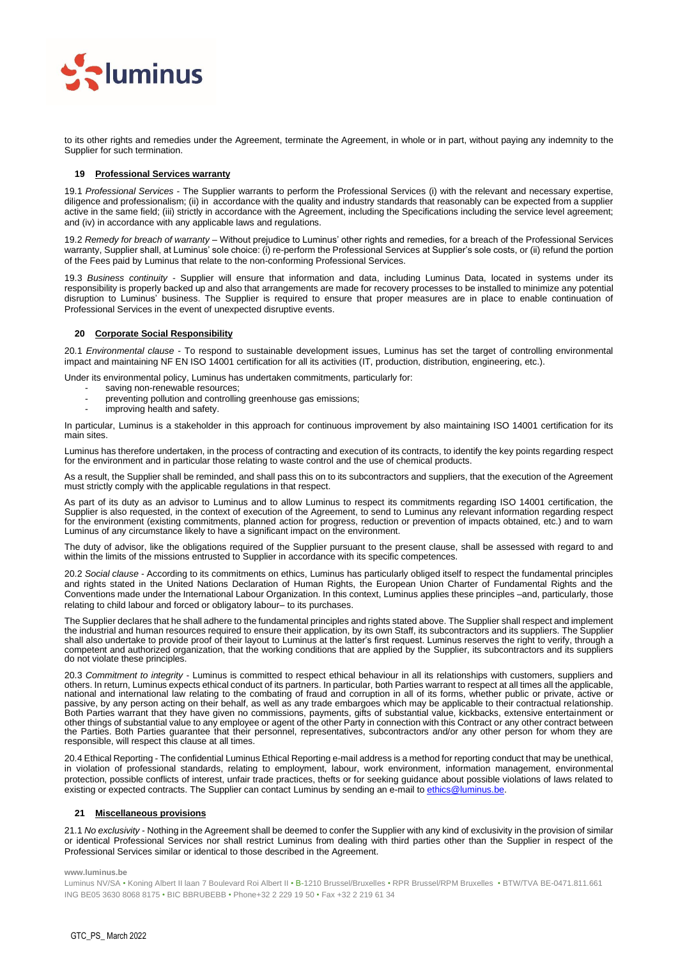

to its other rights and remedies under the Agreement, terminate the Agreement, in whole or in part, without paying any indemnity to the Supplier for such termination.

# **19 Professional Services warranty**

19.1 *Professional Services* - The Supplier warrants to perform the Professional Services (i) with the relevant and necessary expertise, diligence and professionalism; (ii) in accordance with the quality and industry standards that reasonably can be expected from a supplier active in the same field; (iii) strictly in accordance with the Agreement, including the Specifications including the service level agreement; and (iv) in accordance with any applicable laws and regulations.

19.2 *Remedy for breach of warranty* – Without prejudice to Luminus' other rights and remedies, for a breach of the Professional Services warranty, Supplier shall, at Luminus' sole choice: (i) re-perform the Professional Services at Supplier's sole costs, or (ii) refund the portion of the Fees paid by Luminus that relate to the non-conforming Professional Services.

19.3 *Business continuity* - Supplier will ensure that information and data, including Luminus Data, located in systems under its responsibility is properly backed up and also that arrangements are made for recovery processes to be installed to minimize any potential disruption to Luminus' business. The Supplier is required to ensure that proper measures are in place to enable continuation of Professional Services in the event of unexpected disruptive events.

# **20 Corporate Social Responsibility**

20.1 *Environmental clause* - To respond to sustainable development issues, Luminus has set the target of controlling environmental impact and maintaining NF EN ISO 14001 certification for all its activities (IT, production, distribution, engineering, etc.).

Under its environmental policy, Luminus has undertaken commitments, particularly for:

- saving non-renewable resources;
- preventing pollution and controlling greenhouse gas emissions;
- improving health and safety.

In particular, Luminus is a stakeholder in this approach for continuous improvement by also maintaining ISO 14001 certification for its main sites.

Luminus has therefore undertaken, in the process of contracting and execution of its contracts, to identify the key points regarding respect for the environment and in particular those relating to waste control and the use of chemical products.

As a result, the Supplier shall be reminded, and shall pass this on to its subcontractors and suppliers, that the execution of the Agreement must strictly comply with the applicable regulations in that respect.

As part of its duty as an advisor to Luminus and to allow Luminus to respect its commitments regarding ISO 14001 certification, the Supplier is also requested, in the context of execution of the Agreement, to send to Luminus any relevant information regarding respect for the environment (existing commitments, planned action for progress, reduction or prevention of impacts obtained, etc.) and to warn Luminus of any circumstance likely to have a significant impact on the environment.

The duty of advisor, like the obligations required of the Supplier pursuant to the present clause, shall be assessed with regard to and within the limits of the missions entrusted to Supplier in accordance with its specific competences.

20.2 *Social clause* - According to its commitments on ethics, Luminus has particularly obliged itself to respect the fundamental principles and rights stated in the United Nations Declaration of Human Rights, the European Union Charter of Fundamental Rights and the Conventions made under the International Labour Organization. In this context, Luminus applies these principles –and, particularly, those relating to child labour and forced or obligatory labour– to its purchases.

The Supplier declares that he shall adhere to the fundamental principles and rights stated above. The Supplier shall respect and implement the industrial and human resources required to ensure their application, by its own Staff, its subcontractors and its suppliers. The Supplier shall also undertake to provide proof of their layout to Luminus at the latter's first request. Luminus reserves the right to verify, through a competent and authorized organization, that the working conditions that are applied by the Supplier, its subcontractors and its suppliers do not violate these principles.

20.3 *Commitment to integrity* - Luminus is committed to respect ethical behaviour in all its relationships with customers, suppliers and others. In return, Luminus expects ethical conduct of its partners. In particular, both Parties warrant to respect at all times all the applicable, national and international law relating to the combating of fraud and corruption in all of its forms, whether public or private, active or passive, by any person acting on their behalf, as well as any trade embargoes which may be applicable to their contractual relationship. Both Parties warrant that they have given no commissions, payments, gifts of substantial value, kickbacks, extensive entertainment or other things of substantial value to any employee or agent of the other Party in connection with this Contract or any other contract between the Parties. Both Parties guarantee that their personnel, representatives, subcontractors and/or any other person for whom they are responsible, will respect this clause at all times.

20.4 Ethical Reporting - The confidential Luminus Ethical Reporting e-mail address is a method for reporting conduct that may be unethical, in violation of professional standards, relating to employment, labour, work environment, information management, environmental protection, possible conflicts of interest, unfair trade practices, thefts or for seeking guidance about possible violations of laws related to existing or expected contracts. The Supplier can contact Luminus by sending an e-mail to ethics@luminus.be

# **21 Miscellaneous provisions**

21.1 *No exclusivity* - Nothing in the Agreement shall be deemed to confer the Supplier with any kind of exclusivity in the provision of similar or identical Professional Services nor shall restrict Luminus from dealing with third parties other than the Supplier in respect of the Professional Services similar or identical to those described in the Agreement.

**www.luminus.be**